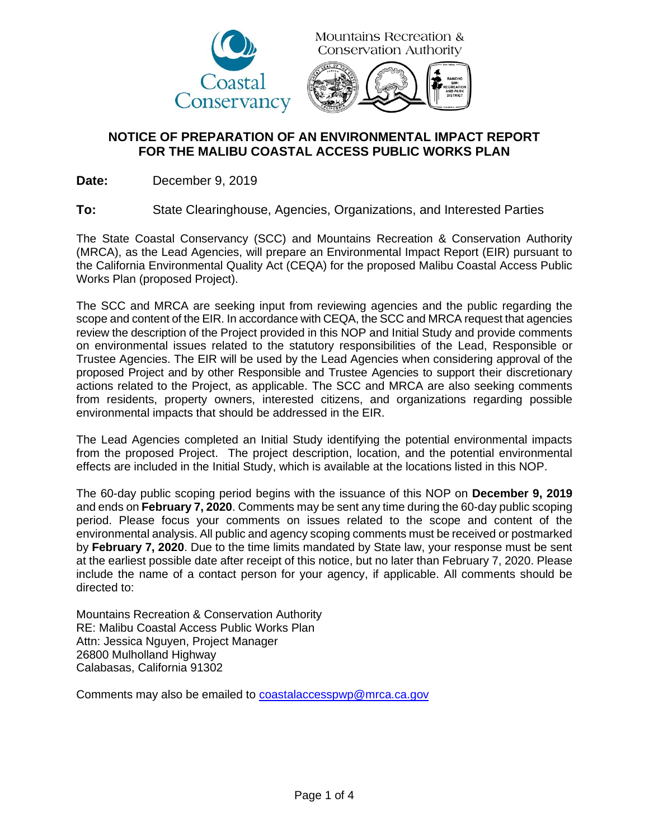

**Mountains Recreation & Conservation Authority** 



## **NOTICE OF PREPARATION OF AN ENVIRONMENTAL IMPACT REPORT FOR THE MALIBU COASTAL ACCESS PUBLIC WORKS PLAN**

**Date:** December 9, 2019

**To:** State Clearinghouse, Agencies, Organizations, and Interested Parties

The State Coastal Conservancy (SCC) and Mountains Recreation & Conservation Authority (MRCA), as the Lead Agencies, will prepare an Environmental Impact Report (EIR) pursuant to the California Environmental Quality Act (CEQA) for the proposed Malibu Coastal Access Public Works Plan (proposed Project).

The SCC and MRCA are seeking input from reviewing agencies and the public regarding the scope and content of the EIR. In accordance with CEQA, the SCC and MRCA request that agencies review the description of the Project provided in this NOP and Initial Study and provide comments on environmental issues related to the statutory responsibilities of the Lead, Responsible or Trustee Agencies. The EIR will be used by the Lead Agencies when considering approval of the proposed Project and by other Responsible and Trustee Agencies to support their discretionary actions related to the Project, as applicable. The SCC and MRCA are also seeking comments from residents, property owners, interested citizens, and organizations regarding possible environmental impacts that should be addressed in the EIR.

The Lead Agencies completed an Initial Study identifying the potential environmental impacts from the proposed Project. The project description, location, and the potential environmental effects are included in the Initial Study, which is available at the locations listed in this NOP.

The 60-day public scoping period begins with the issuance of this NOP on **December 9, 2019** and ends on **February 7, 2020**. Comments may be sent any time during the 60-day public scoping period. Please focus your comments on issues related to the scope and content of the environmental analysis. All public and agency scoping comments must be received or postmarked by **February 7, 2020**. Due to the time limits mandated by State law, your response must be sent at the earliest possible date after receipt of this notice, but no later than February 7, 2020. Please include the name of a contact person for your agency, if applicable. All comments should be directed to:

Mountains Recreation & Conservation Authority RE: Malibu Coastal Access Public Works Plan Attn: Jessica Nguyen, Project Manager 26800 Mulholland Highway Calabasas, California 91302

Comments may also be emailed to [coastalaccesspwp@mrca.ca.gov](mailto:coastalaccesspwp@mrca.ca.gov)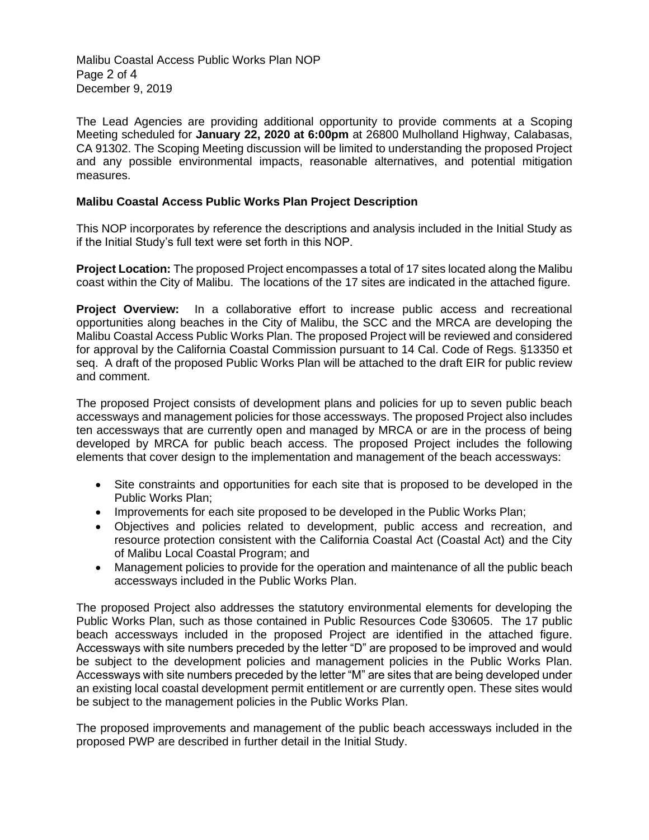Malibu Coastal Access Public Works Plan NOP Page 2 of 4 December 9, 2019

The Lead Agencies are providing additional opportunity to provide comments at a Scoping Meeting scheduled for **January 22, 2020 at 6:00pm** at 26800 Mulholland Highway, Calabasas, CA 91302. The Scoping Meeting discussion will be limited to understanding the proposed Project and any possible environmental impacts, reasonable alternatives, and potential mitigation measures.

## **Malibu Coastal Access Public Works Plan Project Description**

This NOP incorporates by reference the descriptions and analysis included in the Initial Study as if the Initial Study's full text were set forth in this NOP.

**Project Location:** The proposed Project encompasses a total of 17 sites located along the Malibu coast within the City of Malibu. The locations of the 17 sites are indicated in the attached figure.

**Project Overview:** In a collaborative effort to increase public access and recreational opportunities along beaches in the City of Malibu, the SCC and the MRCA are developing the Malibu Coastal Access Public Works Plan. The proposed Project will be reviewed and considered for approval by the California Coastal Commission pursuant to 14 Cal. Code of Regs. §13350 et seq. A draft of the proposed Public Works Plan will be attached to the draft EIR for public review and comment.

The proposed Project consists of development plans and policies for up to seven public beach accessways and management policies for those accessways. The proposed Project also includes ten accessways that are currently open and managed by MRCA or are in the process of being developed by MRCA for public beach access. The proposed Project includes the following elements that cover design to the implementation and management of the beach accessways:

- Site constraints and opportunities for each site that is proposed to be developed in the Public Works Plan;
- Improvements for each site proposed to be developed in the Public Works Plan;
- Objectives and policies related to development, public access and recreation, and resource protection consistent with the California Coastal Act (Coastal Act) and the City of Malibu Local Coastal Program; and
- Management policies to provide for the operation and maintenance of all the public beach accessways included in the Public Works Plan.

The proposed Project also addresses the statutory environmental elements for developing the Public Works Plan, such as those contained in Public Resources Code §30605. The 17 public beach accessways included in the proposed Project are identified in the attached figure. Accessways with site numbers preceded by the letter "D" are proposed to be improved and would be subject to the development policies and management policies in the Public Works Plan. Accessways with site numbers preceded by the letter "M" are sites that are being developed under an existing local coastal development permit entitlement or are currently open. These sites would be subiect to the management policies in the Public Works Plan.

The proposed improvements and management of the public beach accessways included in the proposed PWP are described in further detail in the Initial Study.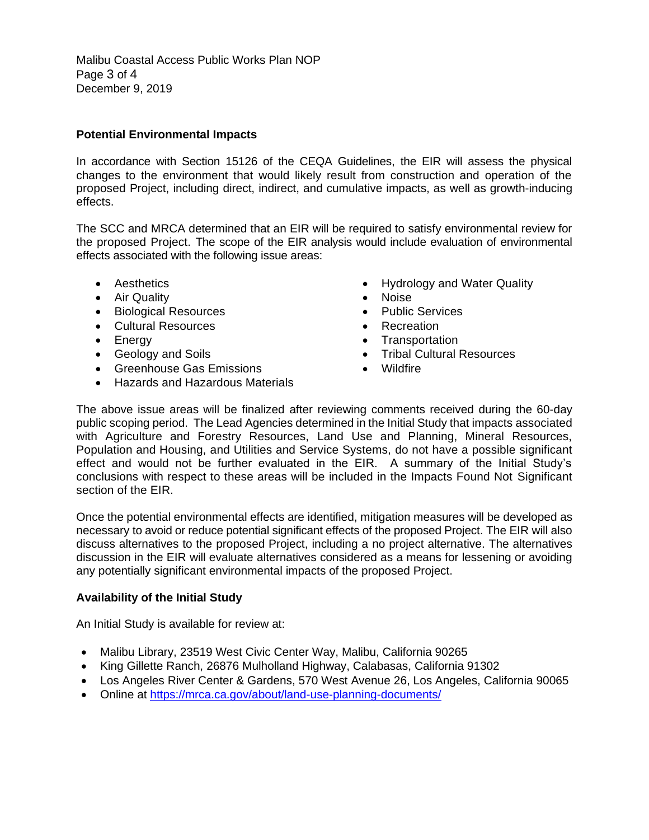Malibu Coastal Access Public Works Plan NOP Page 3 of 4 December 9, 2019

## **Potential Environmental Impacts**

In accordance with Section 15126 of the CEQA Guidelines, the EIR will assess the physical changes to the environment that would likely result from construction and operation of the proposed Project, including direct, indirect, and cumulative impacts, as well as growth-inducing effects.

The SCC and MRCA determined that an EIR will be required to satisfy environmental review for the proposed Project. The scope of the EIR analysis would include evaluation of environmental effects associated with the following issue areas:

- Aesthetics
- Air Quality
- Biological Resources
- Cultural Resources
- Energy
- Geology and Soils
- Greenhouse Gas Emissions
- Hazards and Hazardous Materials
- Hydrology and Water Quality
- Noise
- Public Services
- Recreation
- Transportation
- Tribal Cultural Resources
- Wildfire

The above issue areas will be finalized after reviewing comments received during the 60-day public scoping period. The Lead Agencies determined in the Initial Study that impacts associated with Agriculture and Forestry Resources, Land Use and Planning, Mineral Resources, Population and Housing, and Utilities and Service Systems, do not have a possible significant effect and would not be further evaluated in the EIR. A summary of the Initial Study's conclusions with respect to these areas will be included in the Impacts Found Not Significant section of the EIR.

Once the potential environmental effects are identified, mitigation measures will be developed as necessary to avoid or reduce potential significant effects of the proposed Project. The EIR will also discuss alternatives to the proposed Project, including a no project alternative. The alternatives discussion in the EIR will evaluate alternatives considered as a means for lessening or avoiding any potentially significant environmental impacts of the proposed Project.

## **Availability of the Initial Study**

An Initial Study is available for review at:

- Malibu Library, 23519 West Civic Center Way, Malibu, California 90265
- King Gillette Ranch, 26876 Mulholland Highway, Calabasas, California 91302
- Los Angeles River Center & Gardens, 570 West Avenue 26, Los Angeles, California 90065
- Online at<https://mrca.ca.gov/about/land-use-planning-documents/>